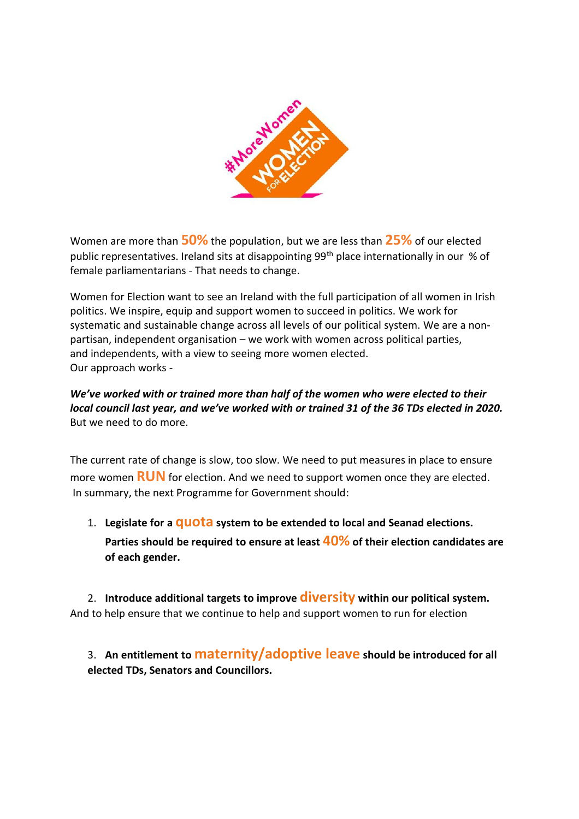

Women are more than **50%** the population, but we are less than **25%** of our elected public representatives. Ireland sits at disappointing 99<sup>th</sup> place internationally in our % of female parliamentarians - That needs to change.

Women for Election want to see an Ireland with the full participation of all women in Irish politics. We inspire, equip and support women to succeed in politics. We work for systematic and sustainable change across all levels of our political system. We are a nonpartisan, independent organisation – we work with women across political parties, and independents, with a view to seeing more women elected. Our approach works -

#### *We've worked with or trained more than half of the women who were elected to their local council last year, and we've worked with or trained 31 of the 36 TDs elected in 2020.* But we need to do more.

The current rate of change is slow, too slow. We need to put measures in place to ensure more women **RUN** for election. And we need to support women once they are elected. In summary, the next Programme for Government should:

1. **Legislate for a quota system to be extended to local and Seanad elections. Parties should be required to ensure at least 40% of their election candidates are of each gender.**

2. **Introduce additional targets to improve diversity within our political system.** And to help ensure that we continue to help and support women to run for election

3. **An entitlement to maternity/adoptive leave should be introduced for all elected TDs, Senators and Councillors.**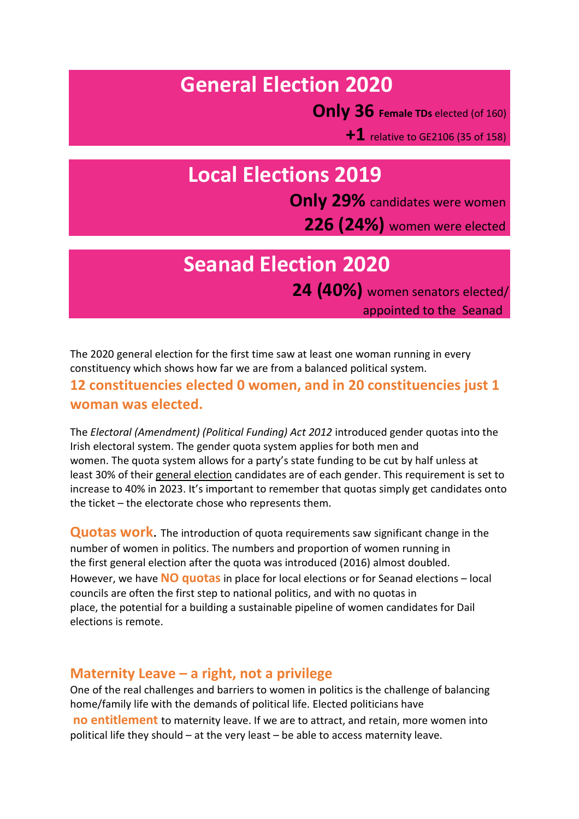# **General Election 2020**

**Only 36 Female TDs** elected (of 160)

**+1** relative to GE2106 (35 of 158)

# **Local Elections 2019**

**Only 29%** candidates were women **226 (24%)** women were elected

## **Seanad Election 2020**

**24 (40%)** women senators elected/ appointed to the Seanad

The 2020 general election for the first time saw at least one woman running in every constituency which shows how far we are from a balanced political system.

### **12 constituencies elected 0 women, and in 20 constituencies just 1 woman was elected.**

The *Electoral (Amendment) (Political Funding) Act 2012* introduced gender quotas into the Irish electoral system. The gender quota system applies for both men and women. The quota system allows for a party's state funding to be cut by half unless at least 30% of their general election candidates are of each gender. This requirement is set to increase to 40% in 2023. It's important to remember that quotas simply get candidates onto the ticket – the electorate chose who represents them.

**Quotas work**. The introduction of quota requirements saw significant change in the number of women in politics. The numbers and proportion of women running in the first general election after the quota was introduced (2016) almost doubled. However, we have **NO quotas**in place for local elections or for Seanad elections – local councils are often the first step to national politics, and with no quotas in place, the potential for a building a sustainable pipeline of women candidates for Dail elections is remote.

#### **Maternity Leave – a right, not a privilege**

One of the real challenges and barriers to women in politics is the challenge of balancing home/family life with the demands of political life. Elected politicians have **no entitlement** to maternity leave. If we are to attract, and retain, more women into political life they should – at the very least – be able to access maternity leave.